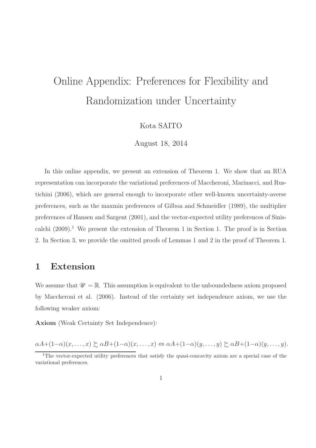# Online Appendix: Preferences for Flexibility and Randomization under Uncertainty

#### Kota SAITO

August 18, 2014

In this online appendix, we present an extension of Theorem 1. We show that an RUA representation can incorporate the variational preferences of Maccheroni, Marinacci, and Rustichini (2006), which are general enough to incorporate other well-known uncertainty-averse preferences, such as the maxmin preferences of Gilboa and Schmeidler (1989), the multiplier preferences of Hansen and Sargent (2001), and the vector-expected utility preferences of Siniscalchi  $(2009).<sup>1</sup>$  We present the extension of Theorem 1 in Section 1. The proof is in Section 2. In Section 3, we provide the omitted proofs of Lemmas 1 and 2 in the proof of Theorem 1.

## 1 Extension

We assume that  $\mathscr{U} = \mathbb{R}$ . This assumption is equivalent to the unboundedness axiom proposed by Maccheroni et al. (2006). Instead of the certainty set independence axiom, we use the following weaker axiom:

Axiom (Weak Certainty Set Independence):

 $\alpha A+(1-\alpha)(x,\ldots,x) \succsim \alpha B+(1-\alpha)(x,\ldots,x) \Leftrightarrow \alpha A+(1-\alpha)(y,\ldots,y) \succsim \alpha B+(1-\alpha)(y,\ldots,y).$ 

<sup>&</sup>lt;sup>1</sup>The vector-expected utility preferences that satisfy the quasi-concavity axiom are a special case of the variational preferences.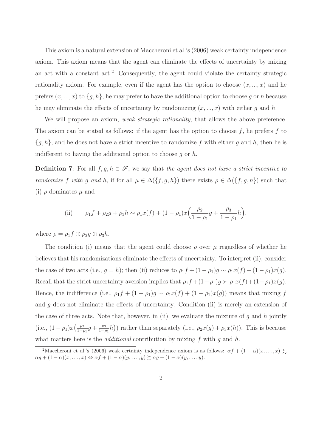This axiom is a natural extension of Maccheroni et al.'s (2006) weak certainty independence axiom. This axiom means that the agent can eliminate the effects of uncertainty by mixing an act with a constant  $\text{act.}^2$  Consequently, the agent could violate the certainty strategic rationality axiom. For example, even if the agent has the option to choose  $(x, \ldots, x)$  and he prefers  $(x, ..., x)$  to  $\{g, h\}$ , he may prefer to have the additional option to choose g or h because he may eliminate the effects of uncertainty by randomizing  $(x, \ldots, x)$  with either g and h.

We will propose an axiom, *weak strategic rationality*, that allows the above preference. The axiom can be stated as follows: if the agent has the option to choose  $f$ , he prefers  $f$  to  ${g, h}$ , and he does not have a strict incentive to randomize f with either g and h, then he is indifferent to having the additional option to choose  $q$  or  $h$ .

**Definition 7:** For all  $f, g, h \in \mathcal{F}$ , we say that the agent does not have a strict incentive to randomize f with g and h, if for all  $\mu \in \Delta(\lbrace f, g, h \rbrace)$  there exists  $\rho \in \Delta(\lbrace f, g, h \rbrace)$  such that (i)  $\rho$  dominates  $\mu$  and

(ii) 
$$
\rho_1 f + \rho_2 g + \rho_3 h \sim \rho_1 x(f) + (1 - \rho_1) x \left( \frac{\rho_2}{1 - \rho_1} g + \frac{\rho_3}{1 - \rho_1} h \right),
$$

where  $\rho = \rho_1 f \oplus \rho_2 g \oplus \rho_3 h$ .

The condition (i) means that the agent could choose  $\rho$  over  $\mu$  regardless of whether he believes that his randomizations eliminate the effects of uncertainty. To interpret (ii), consider the case of two acts (i.e.,  $g = h$ ); then (ii) reduces to  $\rho_1 f + (1 - \rho_1)g \sim \rho_1 x(f) + (1 - \rho_1)x(g)$ . Recall that the strict uncertainty aversion implies that  $\rho_1 f + (1 - \rho_1)g \succ \rho_1 x(f) + (1 - \rho_1)x(g)$ . Hence, the indifference (i.e.,  $\rho_1 f + (1 - \rho_1)g \sim \rho_1 x(f) + (1 - \rho_1)x(g)$ ) means that mixing f and  $g$  does not eliminate the effects of uncertainty. Condition (ii) is merely an extension of the case of three acts. Note that, however, in (ii), we evaluate the mixture of  $g$  and  $h$  jointly (i.e.,  $(1 - \rho_1)x \left( \frac{\rho_2}{1 - \rho_1} \right)$  $\frac{\rho_2}{1-\rho_1}g + \frac{\rho_3}{1-\rho_3}$  $\frac{\rho_3}{1-\rho_1}h$ ) rather than separately (i.e.,  $\rho_2x(g) + \rho_3x(h)$ ). This is because what matters here is the *additional* contribution by mixing  $f$  with  $g$  and  $h$ .

<sup>&</sup>lt;sup>2</sup>Maccheroni et al.'s (2006) weak certainty independence axiom is as follows:  $\alpha f + (1 - \alpha)(x, \dots, x) \succeq$  $\alpha g + (1 - \alpha)(x, \ldots, x) \Leftrightarrow \alpha f + (1 - \alpha)(y, \ldots, y) \succsim \alpha g + (1 - \alpha)(y, \ldots, y).$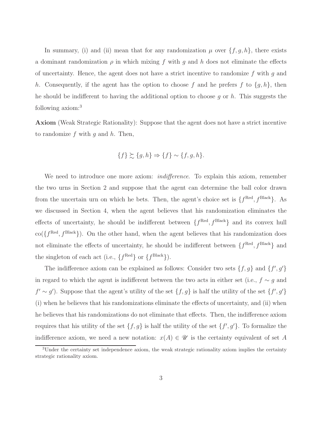In summary, (i) and (ii) mean that for any randomization  $\mu$  over  $\{f, g, h\}$ , there exists a dominant randomization  $\rho$  in which mixing f with q and h does not eliminate the effects of uncertainty. Hence, the agent does not have a strict incentive to randomize f with q and h. Consequently, if the agent has the option to choose f and he prefers f to  $\{g, h\}$ , then he should be indifferent to having the additional option to choose q or h. This suggests the following axiom:<sup>3</sup>

Axiom (Weak Strategic Rationality): Suppose that the agent does not have a strict incentive to randomize f with q and  $h$ . Then,

$$
\{f\} \succsim \{g,h\} \Rightarrow \{f\} \sim \{f,g,h\}.
$$

We need to introduce one more axiom: *indifference*. To explain this axiom, remember the two urns in Section 2 and suppose that the agent can determine the ball color drawn from the uncertain urn on which he bets. Then, the agent's choice set is  $\{f^{\text{Red}}, f^{\text{Black}}\}$ . As we discussed in Section 4, when the agent believes that his randomization eliminates the effects of uncertainty, he should be indifferent between  $\{f^{\text{Red}}, f^{\text{Black}}\}$  and its convex hull  $\text{co}(\lbrace f^{\text{Red}}, f^{\text{Black}} \rbrace)$ . On the other hand, when the agent believes that his randomization does not eliminate the effects of uncertainty, he should be indifferent between  $\{f^{\text{Red}}, f^{\text{Black}}\}$  and the singleton of each act (i.e.,  $\{f^{\text{Red}}\}$  or  $\{f^{\text{Black}}\}$ ).

The indifference axiom can be explained as follows: Consider two sets  $\{f, g\}$  and  $\{f', g'\}$ in regard to which the agent is indifferent between the two acts in either set (i.e.,  $f \sim g$  and  $f' \sim g'$ ). Suppose that the agent's utility of the set  $\{f, g\}$  is half the utility of the set  $\{f', g'\}$ (i) when he believes that his randomizations eliminate the effects of uncertainty, and (ii) when he believes that his randomizations do not eliminate that effects. Then, the indifference axiom requires that his utility of the set  $\{f, g\}$  is half the utility of the set  $\{f', g'\}$ . To formalize the indifference axiom, we need a new notation:  $x(A) \in \mathscr{U}$  is the certainty equivalent of set A

 $3$ Under the certainty set independence axiom, the weak strategic rationality axiom implies the certainty strategic rationality axiom.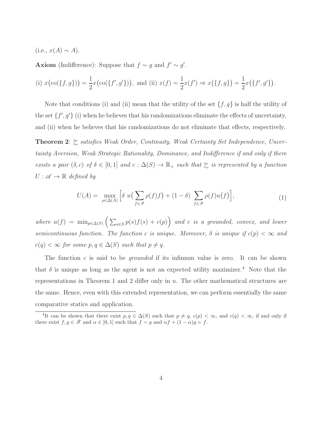(i.e.,  $x(A) \sim A$ ).

Axiom (Indifference): Suppose that  $f \sim g$  and  $f' \sim g'$ .

(i) 
$$
x(\operatorname{co}(\{f,g\})) = \frac{1}{2}x(\operatorname{co}(\{f',g'\}))
$$
, and (ii)  $x(f) = \frac{1}{2}x(f') \Rightarrow x(\{f,g\}) = \frac{1}{2}x(\{f',g'\})$ .

Note that conditions (i) and (ii) mean that the utility of the set  $\{f, g\}$  is half the utility of the set  $\{f', g'\}$  (i) when he believes that his randomizations eliminate the effects of uncertainty, and (ii) when he believes that his randomizations do not eliminate that effects, respectively.

**Theorem 2:**  $\gtrsim$  satisfies Weak Order, Continuity, Weak Certainty Set Independence, Uncertainty Aversion, Weak Strategic Rationality, Dominance, and Indifference if and only if there exists a pair  $(\delta, c)$  of  $\delta \in [0, 1]$  and  $c : \Delta(S) \to \mathbb{R}_+$  such that  $\succsim$  is represented by a function  $U : \mathscr{A} \to \mathbb{R}$  defined by

$$
U(A) = \max_{\rho \in \Delta(A)} \left[ \delta \ u \left( \sum_{f \in \mathcal{F}} \rho(f) f \right) + (1 - \delta) \sum_{f \in \mathcal{F}} \rho(f) u(f) \right],\tag{1}
$$

where  $u(f) = \min_{p \in \Delta(S)} (\sum_{s \in S} p(s) f(s) + c(p))$  and c is a grounded, convex, and lower semicontinuous function. The function c is unique. Moreover,  $\delta$  is unique if  $c(p) < \infty$  and  $c(q) < \infty$  for some  $p, q \in \Delta(S)$  such that  $p \neq q$ .

The function  $c$  is said to be *grounded* if its infimum value is zero. It can be shown that  $\delta$  is unique as long as the agent is not an expected utility maximizer.<sup>4</sup> Note that the representations in Theorem 1 and 2 differ only in u. The other mathematical structures are the same. Hence, even with this extended representation, we can perform essentially the same comparative statics and application.

<sup>&</sup>lt;sup>4</sup>It can be shown that there exist  $p, q \in \Delta(S)$  such that  $p \neq q$ ,  $c(p) < \infty$ , and  $c(q) < \infty$ , if and only if there exist  $f, g \in \mathscr{F}$  and  $\alpha \in [0, 1]$  such that  $f \sim g$  and  $\alpha f + (1 - \alpha)g \succ f$ .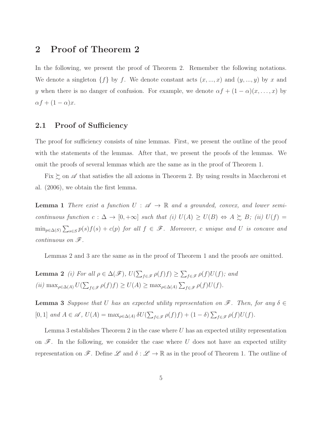### 2 Proof of Theorem 2

In the following, we present the proof of Theorem 2. Remember the following notations. We denote a singleton  $\{f\}$  by f. We denote constant acts  $(x, ..., x)$  and  $(y, ..., y)$  by x and y when there is no danger of confusion. For example, we denote  $\alpha f + (1 - \alpha)(x, \dots, x)$  by  $\alpha f + (1 - \alpha)x.$ 

#### 2.1 Proof of Sufficiency

The proof for sufficiency consists of nine lemmas. First, we present the outline of the proof with the statements of the lemmas. After that, we present the proofs of the lemmas. We omit the proofs of several lemmas which are the same as in the proof of Theorem 1.

Fix  $\succsim$  on  $\mathscr A$  that satisfies the all axioms in Theorem 2. By using results in Maccheroni et al. (2006), we obtain the first lemma.

**Lemma 1** There exist a function  $U : \mathcal{A} \to \mathbb{R}$  and a grounded, convex, and lower semicontinuous function  $c: \Delta \to [0, +\infty]$  such that (i)  $U(A) \ge U(B) \Leftrightarrow A \succsim B$ ; (ii)  $U(f) =$  $\min_{p \in \Delta(S)} \sum_{s \in S} p(s) f(s) + c(p)$  for all  $f \in \mathscr{F}$ . Moreover, c unique and U is concave and continuous on  $\mathscr{F}.$ 

Lemmas 2 and 3 are the same as in the proof of Theorem 1 and the proofs are omitted.

**Lemma 2** (i) For all  $\rho \in \Delta(\mathscr{F})$ ,  $U(\sum_{f \in \mathscr{F}} \rho(f)f) \geq \sum_{f \in \mathscr{F}} \rho(f)U(f)$ ; and (ii)  $\max_{\rho \in \Delta(A)} U(\sum_{f \in \mathcal{F}} \rho(f)f) \geq U(A) \geq \max_{\rho \in \Delta(A)} \sum_{f \in \mathcal{F}} \rho(f)U(f).$ 

**Lemma 3** Suppose that U has an expected utility representation on  $\mathscr{F}$ . Then, for any  $\delta \in$ [0, 1] and  $A \in \mathscr{A}$ ,  $U(A) = \max_{\rho \in \Delta(A)} \delta U(\sum_{f \in \mathscr{F}} \rho(f)f) + (1 - \delta) \sum_{f \in \mathscr{F}} \rho(f)U(f)$ .

Lemma 3 establishes Theorem 2 in the case where  $U$  has an expected utility representation on  $\mathscr F$ . In the following, we consider the case where U does not have an expected utility representation on  $\mathscr{F}$ . Define  $\mathscr{L}$  and  $\delta : \mathscr{L} \to \mathbb{R}$  as in the proof of Theorem 1. The outline of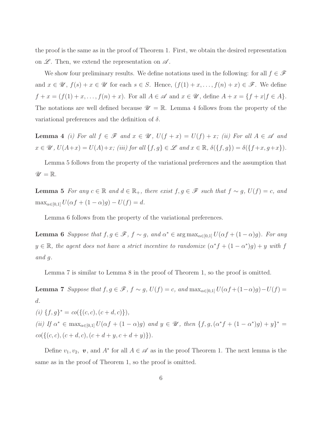the proof is the same as in the proof of Theorem 1. First, we obtain the desired representation on  $\mathscr{L}$ . Then, we extend the representation on  $\mathscr{A}$ .

We show four preliminary results. We define notations used in the following: for all  $f \in \mathscr{F}$ and  $x \in \mathscr{U}$ ,  $f(s) + x \in \mathscr{U}$  for each  $s \in S$ . Hence,  $(f(1) + x, \ldots, f(n) + x) \in \mathscr{F}$ . We define  $f + x = (f(1) + x, \ldots, f(n) + x)$ . For all  $A \in \mathscr{A}$  and  $x \in \mathscr{U}$ , define  $A + x = \{f + x | f \in A\}$ . The notations are well defined because  $\mathscr{U} = \mathbb{R}$ . Lemma 4 follows from the property of the variational preferences and the definition of  $\delta$ .

**Lemma 4** (i) For all  $f \in \mathcal{F}$  and  $x \in \mathcal{U}$ ,  $U(f + x) = U(f) + x$ ; (ii) For all  $A \in \mathcal{A}$  and  $x \in \mathscr{U}$ ,  $U(A+x) = U(A)+x$ ; (iii) for all  $\{f,g\} \in \mathscr{L}$  and  $x \in \mathbb{R}$ ,  $\delta(\{f,g\}) = \delta(\{f+x,g+x\})$ .

Lemma 5 follows from the property of the variational preferences and the assumption that  $\mathscr{U} = \mathbb{R}.$ 

**Lemma 5** For any  $c \in \mathbb{R}$  and  $d \in \mathbb{R}_+$ , there exist  $f, g \in \mathcal{F}$  such that  $f \sim g$ ,  $U(f) = c$ , and  $\max_{\alpha \in [0,1]} U(\alpha f + (1 - \alpha)g) - U(f) = d.$ 

Lemma 6 follows from the property of the variational preferences.

**Lemma 6** Suppose that  $f, g \in \mathscr{F}$ ,  $f \sim g$ , and  $\alpha^* \in \arg \max_{\alpha \in [0,1]} U(\alpha f + (1 - \alpha)g)$ . For any  $y \in \mathbb{R}$ , the agent does not have a strict incentive to randomize  $(\alpha^* f + (1 - \alpha^*) g) + y$  with f and g.

Lemma 7 is similar to Lemma 8 in the proof of Theorem 1, so the proof is omitted.

Lemma 7 Suppose that  $f, g \in \mathscr{F}$ ,  $f \sim g$ ,  $U(f) = c$ , and  $\max_{\alpha \in [0,1]} U(\alpha f + (1-\alpha)g) - U(f) =$ d.

(i)  $\{f, g\}^* = co(\{(c, c), (c + d, c)\}),$ (ii) If  $\alpha^* \in \max_{\alpha \in [0,1]} U(\alpha f + (1 - \alpha)g)$  and  $y \in \mathscr{U}$ , then  $\{f, g, (\alpha^* f + (1 - \alpha^*) g) + y\}^* =$  $co({(c, c), (c + d, c), (c + d + y, c + d + y)}).$ 

Define  $v_1, v_2, v$ , and  $A^*$  for all  $A \in \mathscr{A}$  as in the proof Theorem 1. The next lemma is the same as in the proof of Theorem 1, so the proof is omitted.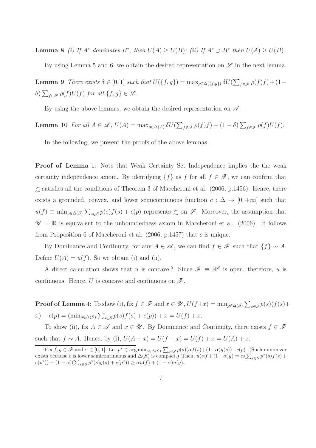**Lemma 8** (i) If  $A^*$  dominates  $B^*$ , then  $U(A) \geq U(B)$ ; (ii) If  $A^* \supset B^*$  then  $U(A) \geq U(B)$ .

By using Lemma 5 and 6, we obtain the desired representation on  $\mathscr L$  in the next lemma.

**Lemma 9** There exists  $\delta \in [0,1]$  such that  $U(\lbrace f, g \rbrace) = \max_{\rho \in \Delta(\lbrace f, g \rbrace)} \delta U(\sum_{f \in \mathscr{F}} \rho(f)f) + (1-\rho(f))$  $\delta) \sum_{f \in \mathscr{F}} \rho(f) U(f)$  for all  $\{f, g\} \in \mathscr{L}$ .

By using the above lemmas, we obtain the desired representation on  $\mathscr A$ .

**Lemma 10** For all  $A \in \mathscr{A}$ ,  $U(A) = \max_{\rho \in \Delta(A)} \delta U(\sum_{f \in \mathscr{F}} \rho(f)f) + (1 - \delta) \sum_{f \in \mathscr{F}} \rho(f)U(f)$ .

In the following, we present the proofs of the above lemmas.

Proof of Lemma 1: Note that Weak Certainty Set Independence implies the the weak certainty independence axiom. By identifying  $\{f\}$  as f for all  $f \in \mathscr{F}$ , we can confirm that  $\gtrsim$  satisfies all the conditions of Theorem 3 of Maccheroni et al. (2006, p.1456). Hence, there exists a grounded, convex, and lower semicontinuous function  $c : \Delta \to [0, +\infty]$  such that  $u(f) \equiv \min_{p \in \Delta(S)} \sum_{s \in S} p(s) f(s) + c(p)$  represents  $\succsim$  on  $\mathscr{F}$ . Moreover, the assumption that  $\mathscr{U} = \mathbb{R}$  is equivalent to the unboundedness axiom in Maccheroni et al. (2006). It follows from Proposition 6 of Maccheroni et al.  $(2006, p.1457)$  that c is unique.

By Dominance and Continuity, for any  $A \in \mathscr{A}$ , we can find  $f \in \mathscr{F}$  such that  $\{f\} \sim A$ . Define  $U(A) = u(f)$ . So we obtain (i) and (ii).

A direct calculation shows that u is concave.<sup>5</sup> Since  $\mathscr{F} \equiv \mathbb{R}^S$  is open, therefore, u is continuous. Hence, U is concave and continuous on  $\mathscr{F}$ .

**Proof of Lemma** 4: To show (i), fix  $f \in \mathscr{F}$  and  $x \in \mathscr{U}$ ,  $U(f+x) = \min_{p \in \Delta(S)} \sum_{s \in S} p(s) (f(s) +$  $(x) + c(p) = (\min_{p \in \Delta(S)} \sum_{s \in S} p(s) f(s) + c(p)) + x = U(f) + x.$ 

To show (ii), fix  $A \in \mathscr{A}$  and  $x \in \mathscr{U}$ . By Dominance and Continuity, there exists  $f \in \mathscr{F}$ such that  $f \sim A$ . Hence, by (i),  $U(A + x) = U(f + x) = U(f) + x = U(A) + x$ .

<sup>&</sup>lt;sup>5</sup>Fix  $f, g \in \mathscr{F}$  and  $\alpha \in [0, 1]$ . Let  $p^* \in \arg \min_{p \in \Delta(S)} \sum_{s \in S} p(s) (\alpha f(s) + (1-\alpha)g(s)) + c(p)$ . (Such minimizer exists because c is lower semicontinuous and  $\Delta(S)$  is compact.) Then,  $u(\alpha f + (1-\alpha)g) = \alpha(\sum_{s \in S} p^*(s)f(s) +$  $c(p^*)$  +  $(1 - \alpha)(\sum_{s \in S} p^*(s)g(s) + c(p^*)) \ge \alpha u(f) + (1 - \alpha)u(g).$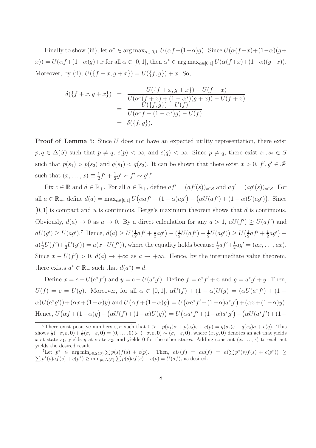Finally to show (iii), let  $\alpha^* \in \arg \max_{\alpha \in [0,1]} U(\alpha f + (1-\alpha)g)$ . Since  $U(\alpha (f+x) + (1-\alpha)(g+x))$  $(x)$ ) =  $U(\alpha f + (1-\alpha)g) + x$  for all  $\alpha \in [0,1]$ , then  $\alpha^* \in \arg \max_{\alpha \in [0,1]} U(\alpha(f+x) + (1-\alpha)(g+x)).$ Moreover, by (ii),  $U({f + x, g + x}) = U({f, g}) + x$ . So,

$$
\delta(\lbrace f + x, g + x \rbrace) = \frac{U(\lbrace f + x, g + x \rbrace) - U(f + x)}{U(\alpha^*(f + x) + (1 - \alpha^*)(g + x)) - U(f + x)}
$$
  
= 
$$
\frac{U(\lbrace f, g \rbrace) - U(f)}{U(\alpha^* f + (1 - \alpha^*) g) - U(f)}
$$
  
= 
$$
\delta(\lbrace f, g \rbrace).
$$

**Proof of Lemma** 5: Since U does not have an expected utility representation, there exist  $p, q \in \Delta(S)$  such that  $p \neq q$ ,  $c(p) < \infty$ , and  $c(q) < \infty$ . Since  $p \neq q$ , there exist  $s_1, s_2 \in S$ such that  $p(s_1) > p(s_2)$  and  $q(s_1) < q(s_2)$ . It can be shown that there exist  $x > 0$ ,  $f', g' \in \mathcal{F}$ such that  $(x, \ldots, x) \equiv \frac{1}{2}$  $\frac{1}{2}f' + \frac{1}{2}$  $\frac{1}{2}g' \succ f' \sim g'.^6$ 

Fix  $c \in \mathbb{R}$  and  $d \in \mathbb{R}_+$ . For all  $a \in \mathbb{R}_+$ , define  $af' = (af'(s))_{s \in S}$  and  $ag' = (ag'(s))_{s \in S}$ . For all  $a \in \mathbb{R}_+$ , define  $d(a) = \max_{\alpha \in [0,1]} U(\alpha a f' + (1 - \alpha) a g') - (\alpha U(a f') + (1 - \alpha) U(a g'))$ . Since  $[0, 1]$  is compact and u is continuous, Berge's maximum theorem shows that d is continuous. Obviously,  $d(a) \to 0$  as  $a \to 0$ . By a direct calculation for any  $a > 1$ ,  $dU(f') \ge U(af')$  and  $aU(g') \geq U(ag')$ .<sup>7</sup> Hence,  $d(a) \geq U(\frac{1}{2})$  $rac{1}{2}af' + \frac{1}{2}$  $(\frac{1}{2}ag') - (\frac{1}{2})$  $\frac{1}{2}U(af') + \frac{1}{2}U(ag')) \ge U(\frac{1}{2})$  $rac{1}{2}af' + \frac{1}{2}$  $\frac{1}{2}ag'$ ) –  $a(\frac{1}{2})$  $\frac{1}{2}U(f') + \frac{1}{2}U(g') = a(x - U(f'))$ , where the equality holds because  $\frac{1}{2}af' + \frac{1}{2}$  $\frac{1}{2}ag' = (ax, \ldots, ax).$ Since  $x - U(f') > 0$ ,  $d(a) \rightarrow +\infty$  as  $a \rightarrow +\infty$ . Hence, by the intermediate value theorem, there exists  $a^* \in \mathbb{R}_+$  such that  $d(a^*) = d$ .

Define  $x = c - U(a^*f')$  and  $y = c - U(a^*g')$ . Define  $f = a^*f' + x$  and  $g = a^*g' + y$ . Then,  $U(f) = c = U(g)$ . Moreover, for all  $\alpha \in [0,1]$ ,  $\alpha U(f) + (1 - \alpha)U(g) = (\alpha U(a^* f') + (1 \alpha$ )U( $a^*g'$ ) + ( $\alpha x + (1-\alpha)y$ ) and  $U(\alpha f + (1-\alpha)g) = U(\alpha a^* f' + (1-\alpha)a^*g') + (\alpha x + (1-\alpha)y)$ . Hence,  $U(\alpha f + (1-\alpha)g) - (\alpha U(f) + (1-\alpha)U(g)) = U(\alpha a*f' + (1-\alpha)a*g') - (\alpha U(a*f') + (1-\alpha)U(g))$ 

<sup>&</sup>lt;sup>6</sup>There exist positive numbers  $\varepsilon, \sigma$  such that  $0 > -p(s_1)\sigma + p(s_2)\varepsilon + c(p) = q(s_1)\varepsilon - q(s_2)\sigma + c(q)$ . This shows  $\frac{1}{2}(-\sigma,\varepsilon,0) + \frac{1}{2}(\sigma,-\varepsilon,0) = (0,\ldots,0) \succ (-\sigma,\varepsilon,0) \sim (\sigma,-\varepsilon,0)$ , where  $(x,y,0)$  denotes an act that yields x at state  $s_1$ ; yields y at state  $s_2$ ; and yields 0 for the other states. Adding constant  $(x, \ldots, x)$  to each act yields the desired result.

<sup>&</sup>lt;sup>7</sup>Let  $p^* \in \arg\min_{p\in\Delta(S)} \sum p(s)f(s) + c(p)$ . Then,  $aU(f) = au(f) = a(\sum p^*(s)f(s) + c(p^*)) \ge$  $\sum p^*(s)af(s) + c(p^*) \geq \min_{p \in \Delta(S)} \sum p(s)af(s) + c(p) = U(af)$ , as desired.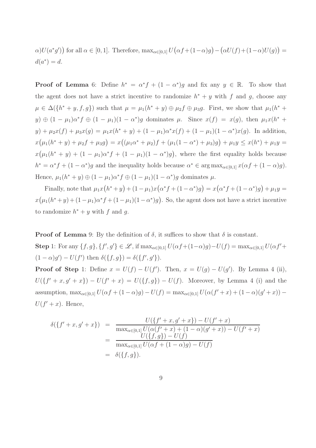$\alpha$ )U(a<sup>\*</sup>g')) for all  $\alpha \in [0,1]$ . Therefore,  $\max_{\alpha \in [0,1]} U(\alpha f + (1-\alpha)g) - (\alpha U(f) + (1-\alpha)U(g)) =$  $d(a^*)=d.$ 

**Proof of Lemma** 6: Define  $h^* = \alpha^* f + (1 - \alpha^*) g$  and fix any  $y \in \mathbb{R}$ . To show that the agent does not have a strict incentive to randomize  $h^* + y$  with f and g, choose any  $\mu \in \Delta({h^* + y, f, g})$  such that  $\mu = \mu_1(h^* + y) \oplus \mu_2 f \oplus \mu_3 g$ . First, we show that  $\mu_1(h^* + y)$  $y) \oplus (1 - \mu_1) \alpha^* f \oplus (1 - \mu_1) (1 - \alpha^*) g$  dominates  $\mu$ . Since  $x(f) = x(g)$ , then  $\mu_1 x(h^* +$  $y) + \mu_2 x(f) + \mu_3 x(g) = \mu_1 x(h^* + y) + (1 - \mu_1) \alpha^* x(f) + (1 - \mu_1)(1 - \alpha^*) x(g)$ . In addition,  $x(\mu_1(h^* + y) + \mu_2 f + \mu_3 g) = x((\mu_1 \alpha^* + \mu_2)f + (\mu_1(1 - \alpha^*) + \mu_3)g) + \mu_1 y \leq x(h^*) + \mu_1 y =$  $x(\mu_1(h^*+y) + (1-\mu_1)\alpha^*f + (1-\mu_1)(1-\alpha^*)g)$ , where the first equality holds because  $h^* = \alpha^* f + (1 - \alpha^*) g$  and the inequality holds because  $\alpha^* \in \arg \max_{\alpha \in [0,1]} x(\alpha f + (1 - \alpha) g)$ . Hence,  $\mu_1(h^* + y) \oplus (1 - \mu_1)\alpha^* f \oplus (1 - \mu_1)(1 - \alpha^*) g$  dominates  $\mu$ .

Finally, note that  $\mu_1 x(h^* + y) + (1 - \mu_1)x(\alpha^* f + (1 - \alpha^*) g) = x(\alpha^* f + (1 - \alpha^*) g) + \mu_1 y =$  $x(\mu_1(h^*+y)+(1-\mu_1)\alpha^*f+(1-\mu_1)(1-\alpha^*)g)$ . So, the agent does not have a strict incentive to randomize  $h^* + y$  with f and g.

**Proof of Lemma** 9: By the definition of  $\delta$ , it suffices to show that  $\delta$  is constant.

Step 1: For any  $\{f,g\},\{f',g'\}\in\mathscr{L}$ , if  $\max_{\alpha\in[0,1]}U(\alpha f+(1-\alpha)g)-U(f)=\max_{\alpha\in[0,1]}U(\alpha f'+f)$  $(1 - \alpha)g' - U(f')$  then  $\delta({f, g}) = \delta({f', g')}$ .

**Proof of Step** 1: Define  $x = U(f) - U(f')$ . Then,  $x = U(g) - U(g')$ . By Lemma 4 (ii),  $U({f' + x, g' + x}) - U(f' + x) = U({f, g}) - U(f)$ . Moreover, by Lemma 4 (i) and the assumption,  $\max_{\alpha \in [0,1]} U(\alpha f + (1 - \alpha)g) - U(f) = \max_{\alpha \in [0,1]} U(\alpha (f' + x) + (1 - \alpha)(g' + x))$  $U(f' + x)$ . Hence,

$$
\delta(\lbrace f' + x, g' + x \rbrace) = \frac{U(\lbrace f' + x, g' + x \rbrace) - U(f' + x)}{\max_{\alpha \in [0,1]} U(\alpha(f' + x) + (1 - \alpha)(g' + x)) - U(f' + x)} \n= \frac{U(\lbrace f, g \rbrace) - U(f)}{\max_{\alpha \in [0,1]} U(\alpha f + (1 - \alpha)g) - U(f)} \n= \delta(\lbrace f, g \rbrace).
$$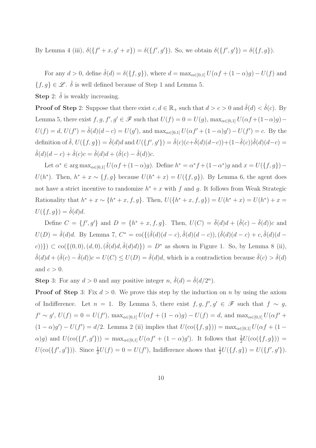By Lemma 4 (iii),  $\delta({f' + x, g' + x}) = \delta({f', g'})$ . So, we obtain  $\delta({f', g'}) = \delta({f, g})$ .

For any  $d > 0$ , define  $\hat{\delta}(d) = \delta({f, g})$ , where  $d = \max_{\alpha \in [0,1]} U(\alpha f + (1 - \alpha)g) - U(f)$  and  $\{f, g\} \in \mathcal{L}$ .  $\hat{\delta}$  is well defined because of Step 1 and Lemma 5. **Step** 2:  $\hat{\delta}$  is weakly increasing.

**Proof of Step** 2: Suppose that there exist  $c, d \in \mathbb{R}_+$  such that  $d > c > 0$  and  $\hat{\delta}(d) < \hat{\delta}(c)$ . By Lemma 5, there exist  $f, g, f', g' \in \mathscr{F}$  such that  $U(f) = 0 = U(g)$ ,  $\max_{\alpha \in [0,1]} U(\alpha f + (1-\alpha)g) U(f) = d, U(f') = \hat{\delta}(d)(d-c) = U(g')$ , and  $\max_{\alpha \in [0,1]} U(\alpha f' + (1-\alpha)g') - U(f') = c$ . By the definition of  $\hat{\delta}$ ,  $U(\{f,g\}) = \hat{\delta}(d)d$  and  $U(\{f',g'\}) = \hat{\delta}(c)(c+\hat{\delta}(d)(d-c)) + (1-\hat{\delta}(c))\hat{\delta}(d)(d-c) =$  $\hat{\delta}(d)(d-c) + \hat{\delta}(c)c = \hat{\delta}(d)d + (\hat{\delta}(c) - \hat{\delta}(d))c.$ 

Let  $\alpha^* \in \arg \max_{\alpha \in [0,1]} U(\alpha f + (1-\alpha)g)$ . Define  $h^* = \alpha^* f + (1-\alpha^*)g$  and  $x = U(\lbrace f, g \rbrace)$  $U(h^*)$ . Then,  $h^* + x \sim \{f, g\}$  because  $U(h^* + x) = U(\{f, g\})$ . By Lemma 6, the agent does not have a strict incentive to randomize  $h^* + x$  with f and g. It follows from Weak Strategic Rationality that  $h^* + x \sim \{h^* + x, f, g\}$ . Then,  $U(\{h^* + x, f, g\}) = U(h^* + x) = U(h^*) + x =$  $U(\lbrace f, g \rbrace) = \delta(d)d.$ 

Define  $C = \{f', g'\}$  and  $D = \{h^* + x, f, g\}$ . Then,  $U(C) = \hat{\delta}(d)d + (\hat{\delta}(c) - \hat{\delta}(d))c$  and  $U(D) = \hat{\delta}(d)d$ . By Lemma 7,  $C^* = \text{co}(\{(\hat{\delta}(d)(d-c), \hat{\delta}(d)(d-c)), (\hat{\delta}(d)(d-c) + c, \hat{\delta}(d)(d-c)\})$ c))})  $\subset$  co({(0,0),(d,0),( $\hat{\delta}(d)d, \hat{\delta}(d)d$ })}) = D<sup>\*</sup> as shown in Figure 1. So, by Lemma 8 (ii),  $\hat{\delta}(d)d + (\hat{\delta}(c) - \hat{\delta}(d))c = U(C) \leq U(D) = \hat{\delta}(d)d$ , which is a contradiction because  $\hat{\delta}(c) > \hat{\delta}(d)$ and  $c > 0$ .

**Step** 3: For any  $d > 0$  and any positive integer  $n, \hat{\delta}(d) = \hat{\delta}(d/2^n)$ .

**Proof of Step** 3: Fix  $d > 0$ . We prove this step by the induction on n by using the axiom of Indifference. Let  $n = 1$ . By Lemma 5, there exist  $f, g, f', g' \in \mathscr{F}$  such that  $f \sim g$ ,  $f' \sim g'$ ,  $U(f) = 0 = U(f')$ ,  $\max_{\alpha \in [0,1]} U(\alpha f + (1 - \alpha)g) - U(f) = d$ , and  $\max_{\alpha \in [0,1]} U(\alpha f' +$  $(1 - \alpha)g' - U(f') = d/2$ . Lemma 2 (ii) implies that  $U(\text{co}(\{f, g\})) = \max_{\alpha \in [0,1]} U(\alpha f + (1 \alpha$ )g) and  $U(\text{co}(\{f', g'\})) = \max_{\alpha \in [0,1]} U(\alpha f' + (1 - \alpha)g')$ . It follows that  $\frac{1}{2}U(\text{co}(\{f, g\})) =$  $U(\text{co}(\{f', g'\}))$ . Since  $\frac{1}{2}U(f) = 0 = U(f')$ , Indifference shows that  $\frac{1}{2}U(\{f, g\}) = U(\{f', g'\})$ .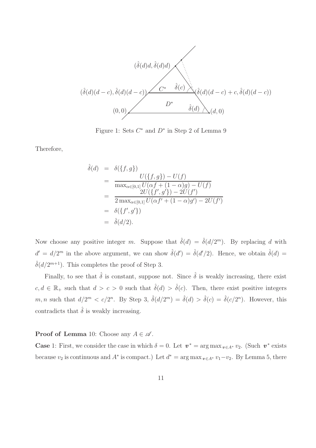

Figure 1: Sets  $C^*$  and  $D^*$  in Step 2 of Lemma 9

Therefore,

$$
\hat{\delta}(d) = \delta(\{f, g\})
$$
\n
$$
= \frac{U(\{f, g\}) - U(f)}{\max_{\alpha \in [0, 1]} U(\alpha f + (1 - \alpha)g) - U(f)}
$$
\n
$$
= \frac{2U(\{f', g'\}) - 2U(f')}{2 \max_{\alpha \in [0, 1]} U(\alpha f' + (1 - \alpha)g') - 2U(f')}
$$
\n
$$
= \delta(\{f', g'\})
$$
\n
$$
= \hat{\delta}(d/2).
$$

Now choose any positive integer m. Suppose that  $\hat{\delta}(d) = \hat{\delta}(d/2^m)$ . By replacing d with  $d' = d/2^m$  in the above argument, we can show  $\hat{\delta}(d') = \hat{\delta}(d'/2)$ . Hence, we obtain  $\hat{\delta}(d) =$  $\hat{\delta}(d/2^{m+1})$ . This completes the proof of Step 3.

Finally, to see that  $\hat{\delta}$  is constant, suppose not. Since  $\hat{\delta}$  is weakly increasing, there exist  $c, d \in \mathbb{R}_+$  such that  $d > c > 0$  such that  $\hat{\delta}(d) > \hat{\delta}(c)$ . Then, there exist positive integers m, n such that  $d/2^m < c/2^n$ . By Step 3,  $\hat{\delta}(d/2^m) = \hat{\delta}(d) > \hat{\delta}(c) = \hat{\delta}(c/2^n)$ . However, this contradicts that  $\hat{\delta}$  is weakly increasing.

**Proof of Lemma** 10: Choose any  $A \in \mathcal{A}$ .

**Case** 1: First, we consider the case in which  $\delta = 0$ . Let  $v^* = \arg \max_{v \in A^*} v_2$ . (Such  $v^*$  exists because  $v_2$  is continuous and  $A^*$  is compact.) Let  $d^* = \arg \max_{v \in A^*} v_1 - v_2$ . By Lemma 5, there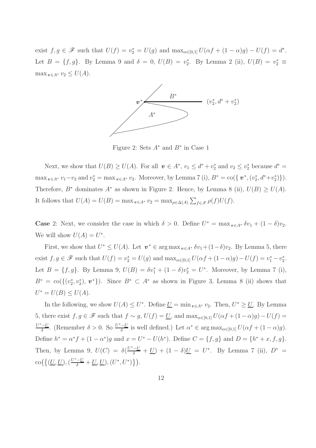exist  $f, g \in \mathscr{F}$  such that  $U(f) = v_2^* = U(g)$  and  $\max_{\alpha \in [0,1]} U(\alpha f + (1 - \alpha)g) - U(f) = d^*$ . Let  $B = \{f, g\}$ . By Lemma 9 and  $\delta = 0$ ,  $U(B) = v_2^*$ . By Lemma 2 (ii),  $U(B) = v_2^* \equiv$  $\max_{v \in A^*} v_2 \leq U(A).$ 



Figure 2: Sets  $A^*$  and  $B^*$  in Case 1

Next, we show that  $U(B) \ge U(A)$ . For all  $v \in A^*$ ,  $v_1 \le d^* + v_2^*$  and  $v_2 \le v_2^*$  because  $d^* =$  $\max_{v \in A^*} v_1 - v_2$  and  $v_2^* = \max_{v \in A^*} v_2$ . Moreover, by Lemma 7 (i),  $B^* = \text{co}(\{v^*, (v_2^*, d^* + v_2^*)\})$ . Therefore,  $B^*$  dominates  $A^*$  as shown in Figure 2. Hence, by Lemma 8 (ii),  $U(B) \ge U(A)$ . It follows that  $U(A) = U(B) = \max_{v \in A^*} v_2 = \max_{\rho \in \Delta(A)} \sum_{f \in \mathcal{F}} \rho(f) U(f)$ .

**Case** 2: Next, we consider the case in which  $\delta > 0$ . Define  $U^* = \max_{v \in A^*} \delta v_1 + (1 - \delta)v_2$ . We will show  $U(A) = U^*$ .

First, we show that  $U^* \leq U(A)$ . Let  $v^* \in \arg \max_{v \in A^*} \delta v_1 + (1 - \delta)v_2$ . By Lemma 5, there exist  $f, g \in \mathscr{F}$  such that  $U(f) = v_2^* = U(g)$  and  $\max_{\alpha \in [0,1]} U(\alpha f + (1 - \alpha)g) - U(f) = v_1^* - v_2^*$ . Let  $B = \{f, g\}$ . By Lemma 9,  $U(B) = \delta v_1^* + (1 - \delta)v_2^* = U^*$ . Moreover, by Lemma 7 (i),  $B^* = \text{co}(\{(v_2^*, v_2^*), \, \boldsymbol{v}^*\})$ . Since  $B^* \subset A^*$  as shown in Figure 3, Lemma 8 (ii) shows that  $U^* = U(B) \le U(A).$ 

In the following, we show  $U(A) \leq U^*$ . Define  $\underline{U} = \min_{v \in A^*} v_2$ . Then,  $U^* \geq \underline{U}$ . By Lemma 5, there exist  $f, g \in \mathscr{F}$  such that  $f \sim g$ ,  $U(f) = \underline{U}$ , and  $\max_{\alpha \in [0,1]} U(\alpha f + (1 - \alpha)g) - U(f) =$  $U^*-\underline{U}$  $\frac{\delta - U}{\delta}$ . (Remember  $\delta > 0$ . So  $\frac{U^* - U}{\delta}$  $\frac{-U}{\delta}$  is well defined.) Let  $\alpha^* \in \arg \max_{\alpha \in [0,1]} U(\alpha f + (1 - \alpha)g)$ . Define  $h^* = \alpha^* f + (1 - \alpha^*) g$  and  $x = U^* - U(h^*)$ . Define  $C = \{f, g\}$  and  $D = \{h^* + x, f, g\}$ . Then, by Lemma 9,  $U(C) = \delta(\frac{U^* - U}{\delta} + \underline{U}) + (1 - \delta)\underline{U} = U^*$ . By Lemma 7 (ii),  $D^* =$  $\operatorname{co}\left(\left\{(\underline{U},\underline{U}),(\frac{U^*-\underline{U}}{\delta}+\underline{U},\underline{U}), (U^*,U^*)\right\}\right).$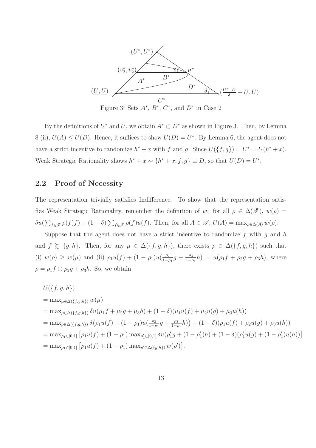

Figure 3: Sets  $A^*, B^*, C^*,$  and  $D^*$  in Case 2

By the definitions of  $U^*$  and  $\underline{U}$ , we obtain  $A^* \subset D^*$  as shown in Figure 3. Then, by Lemma 8 (ii),  $U(A) \leq U(D)$ . Hence, it suffices to show  $U(D) = U^*$ . By Lemma 6, the agent does not have a strict incentive to randomize  $h^* + x$  with f and g. Since  $U(\lbrace f, g \rbrace) = U^* = U(h^* + x)$ , Weak Strategic Rationality shows  $h^* + x \sim \{h^* + x, f, g\} \equiv D$ , so that  $U(D) = U^*$ .

#### 2.2 Proof of Necessity

The representation trivially satisfies Indifference. To show that the representation satisfies Weak Strategic Rationality, remember the definition of w: for all  $\rho \in \Delta(\mathscr{F})$ ,  $w(\rho)$  =  $\delta u(\sum_{f \in \mathscr{F}} \rho(f)f) + (1-\delta) \sum_{f \in \mathscr{F}} \rho(f)u(f)$ . Then, for all  $A \in \mathscr{A}$ ,  $U(A) = \max_{\rho \in \Delta(A)} w(\rho)$ .

Suppose that the agent does not have a strict incentive to randomize  $f$  with  $g$  and  $h$ and  $f \succeq \{g, h\}$ . Then, for any  $\mu \in \Delta(\{f, g, h\})$ , there exists  $\rho \in \Delta(\{f, g, h\})$  such that (i)  $w(\rho) \geq w(\mu)$  and (ii)  $\rho_1 u(f) + (1 - \rho_1) u(\frac{\rho_2}{1 - \rho_1})$  $\frac{\rho_2}{1-\rho_1}g + \frac{\rho_3}{1-\rho_3}$  $\frac{\rho_3}{1-\rho_1}h$  =  $u(\rho_1f + \rho_2g + \rho_3h)$ , where  $\rho = \rho_1 f \oplus \rho_2 g + \rho_3 h$ . So, we obtain

$$
U(\{f, g, h\})
$$
  
= max <sub>$\mu \in \Delta(\{f, g, h\})$</sub>   $w(\mu)$   
= max <sub>$\mu \in \Delta(\{f, g, h\})$</sub>   $\delta u(\mu_1 f + \mu_2 g + \mu_3 h) + (1 - \delta)(\mu_1 u(f) + \mu_2 u(g) + \mu_3 u(h))$   
= max <sub>$\rho \in \Delta(\{f, g, h\})$</sub>   $\delta(\rho_1 u(f) + (1 - \rho_1) u(\frac{\rho_2}{1 - \rho_1} g + \frac{\rho_3}{1 - \rho_1} h)) + (1 - \delta)(\rho_1 u(f) + \rho_2 u(g) + \rho_3 u(h))$   
= max <sub>$\rho_1 \in [0,1]$</sub>   $\left[\rho_1 u(f) + (1 - \rho_1) \max_{\rho_1' \in [0,1]} \delta u(\rho_1' g + (1 - \rho_1') h) + (1 - \delta)(\rho_1' u(g) + (1 - \rho_1') u(h))\right]$   
= max <sub>$\rho_1 \in [0,1]$</sub>   $\left[\rho_1 u(f) + (1 - \rho_1) \max_{\rho_1' \in \Delta(\{g, h\})} w(\rho')\right].$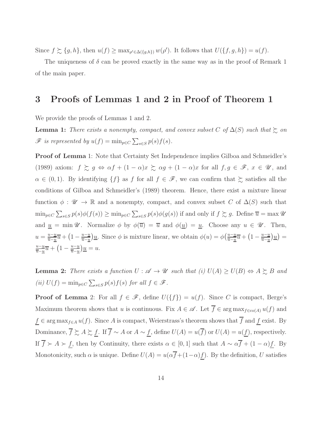Since  $f \succsim \{g, h\}$ , then  $u(f) \ge \max_{\rho' \in \Delta(\{g, h\})} w(\rho')$ . It follows that  $U(\{f, g, h\}) = u(f)$ .

The uniqueness of  $\delta$  can be proved exactly in the same way as in the proof of Remark 1 of the main paper.

## 3 Proofs of Lemmas 1 and 2 in Proof of Theorem 1

We provide the proofs of Lemmas 1 and 2.

**Lemma 1:** There exists a nonempty, compact, and convex subset C of  $\Delta(S)$  such that  $\succeq$  on  $\mathscr{F}$  is represented by  $u(f) = \min_{p \in C} \sum_{s \in S} p(s) f(s)$ .

Proof of Lemma 1: Note that Certainty Set Independence implies Gilboa and Schmeidler's (1989) axiom:  $f \gtrsim g \Leftrightarrow \alpha f + (1 - \alpha)x \gtrsim \alpha g + (1 - \alpha)x$  for all  $f, g \in \mathscr{F}, x \in \mathscr{U}$ , and  $\alpha \in (0,1)$ . By identifying  $\{f\}$  as f for all  $f \in \mathscr{F}$ , we can confirm that  $\succsim$  satisfies all the conditions of Gilboa and Schmeidler's (1989) theorem. Hence, there exist a mixture linear function  $\phi : \mathscr{U} \to \mathbb{R}$  and a nonempty, compact, and convex subset C of  $\Delta(S)$  such that  $\min_{p \in C} \sum_{s \in S} p(s) \phi(f(s)) \geq \min_{p \in C} \sum_{s \in S} p(s) \phi(g(s))$  if and only if  $f \succsim g$ . Define  $\overline{u} = \max \mathscr{U}$ and  $u = \min \mathscr{U}$ . Normalize  $\phi$  by  $\phi(\overline{u}) = \overline{u}$  and  $\phi(\underline{u}) = \underline{u}$ . Choose any  $u \in \mathscr{U}$ . Then,  $u = \frac{u-u}{\overline{u}-u}$  $\frac{u-\underline{u}}{\overline{u}-\underline{u}}\overline{u} + \left(1-\frac{u-\underline{u}}{\overline{u}-\underline{u}}\right)$  $\frac{u-\underline{u}}{\overline{u}-\underline{u}}\underline{u}$ . Since  $\phi$  is mixture linear, we obtain  $\phi(u) = \phi\left(\frac{u-\underline{u}}{\overline{u}-\underline{u}}\right)$  $\frac{u-\underline{u}}{\overline{u}-\underline{u}}\overline{u} + \left(1-\frac{u-\underline{u}}{\overline{u}-\underline{u}}\right)$  $\frac{u-\underline{u}}{\overline{u}-\underline{u}}\big)\underline{u}\big)=$  $u-\underline{u}$  $\frac{u-\underline{u}}{\overline{u}-\underline{u}}\overline{u} + \left(1-\frac{u-\underline{u}}{\overline{u}-\underline{u}}\right)$  $\frac{u-\underline{u}}{\overline{u}-\underline{u}}\big)\underline{u}=u.$ 

**Lemma 2:** There exists a function  $U : \mathcal{A} \to \mathcal{U}$  such that (i)  $U(A) \geq U(B) \Leftrightarrow A \succsim B$  and (ii)  $U(f) = \min_{p \in C} \sum_{s \in S} p(s) f(s)$  for all  $f \in \mathcal{F}$ .

**Proof of Lemma** 2: For all  $f \in \mathcal{F}$ , define  $U(\{f\}) = u(f)$ . Since C is compact, Berge's Maximum theorem shows that u is continuous. Fix  $A \in \mathscr{A}$ . Let  $\overline{f} \in \arg \max_{f \in \text{co}(A)} u(f)$  and  $f \in \arg \max_{f \in A} u(f)$ . Since A is compact, Weierstrass's theorem shows that  $\overline{f}$  and  $\underline{f}$  exist. By Dominance,  $\overline{f} \succsim A \succsim f$ . If  $\overline{f} \sim A$  or  $A \sim f$ , define  $U(A) = u(\overline{f})$  or  $U(A) = u(\overline{f})$ , respectively. If  $\overline{f} \succ A \succ \underline{f}$ , then by Continuity, there exists  $\alpha \in [0,1]$  such that  $A \sim \alpha \overline{f} + (1-\alpha)\underline{f}$ . By Monotonicity, such  $\alpha$  is unique. Define  $U(A) = u(\alpha \overline{f} + (1-\alpha)\underline{f})$ . By the definition, U satisfies